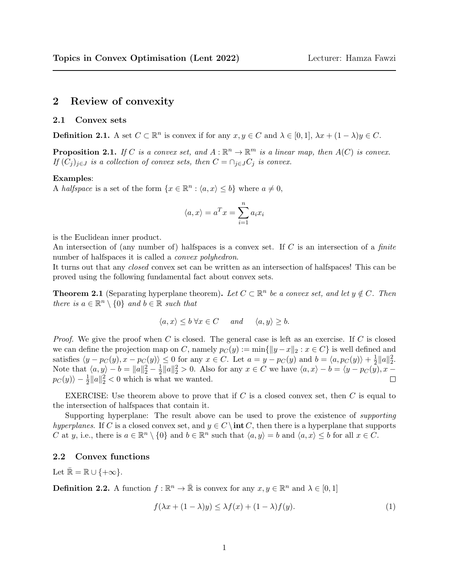# 2 Review of convexity

## 2.1 Convex sets

**Definition 2.1.** A set  $C \subset \mathbb{R}^n$  is convex if for any  $x, y \in C$  and  $\lambda \in [0, 1]$ ,  $\lambda x + (1 - \lambda)y \in C$ .

**Proposition 2.1.** If C is a convex set, and  $A : \mathbb{R}^n \to \mathbb{R}^m$  is a linear map, then  $A(C)$  is convex. If  $(C_i)_{i\in J}$  is a collection of convex sets, then  $C = \bigcap_{i\in J} C_i$  is convex.

## Examples:

A halfspace is a set of the form  $\{x \in \mathbb{R}^n : \langle a, x \rangle \leq b\}$  where  $a \neq 0$ ,

$$
\langle a, x \rangle = a^T x = \sum_{i=1}^n a_i x_i
$$

is the Euclidean inner product.

An intersection of (any number of) halfspaces is a convex set. If C is an intersection of a *finite* number of halfspaces it is called a *convex polyhedron*.

It turns out that any closed convex set can be written as an intersection of halfspaces! This can be proved using the following fundamental fact about convex sets.

**Theorem 2.1** (Separating hyperplane theorem). Let  $C \subset \mathbb{R}^n$  be a convex set, and let  $y \notin C$ . Then there is  $a \in \mathbb{R}^n \setminus \{0\}$  and  $b \in \mathbb{R}$  such that

$$
\langle a, x \rangle \le b \,\forall x \in C \quad and \quad \langle a, y \rangle \ge b.
$$

*Proof.* We give the proof when C is closed. The general case is left as an exercise. If C is closed we can define the projection map on C, namely  $p_C(y) := \min\{\|y - x\|_2 : x \in C\}$  is well defined and satisfies  $\langle y - p_C(y), x - p_C(y) \rangle \leq 0$  for any  $x \in C$ . Let  $a = y - p_C(y)$  and  $b = \langle a, p_C(y) \rangle + \frac{1}{2}$  $\frac{1}{2}||a||_2^2.$ Note that  $\langle a, y \rangle - b = ||a||_2^2 - \frac{1}{2}$  $\frac{1}{2} ||a||_2^2 > 0$ . Also for any  $x \in C$  we have  $\langle a, x \rangle - b = \langle y - p_C(y), x - b \rangle$  $p_C(y)\rangle - \frac{1}{2}||a||_2^2 < 0$  which is what we wanted.  $\Box$ 

EXERCISE: Use theorem above to prove that if  $C$  is a closed convex set, then  $C$  is equal to the intersection of halfspaces that contain it.

Supporting hyperplane: The result above can be used to prove the existence of supporting hyperplanes. If C is a closed convex set, and  $y \in C \$ int C, then there is a hyperplane that supports C at y, i.e., there is  $a \in \mathbb{R}^n \setminus \{0\}$  and  $b \in \mathbb{R}^n$  such that  $\langle a, y \rangle = b$  and  $\langle a, x \rangle \leq b$  for all  $x \in C$ .

## 2.2 Convex functions

Let  $\bar{\mathbb{R}} = \mathbb{R} \cup \{+\infty\}.$ 

**Definition 2.2.** A function  $f : \mathbb{R}^n \to \bar{\mathbb{R}}$  is convex for any  $x, y \in \mathbb{R}^n$  and  $\lambda \in [0, 1]$ 

<span id="page-0-0"></span>
$$
f(\lambda x + (1 - \lambda)y) \le \lambda f(x) + (1 - \lambda)f(y). \tag{1}
$$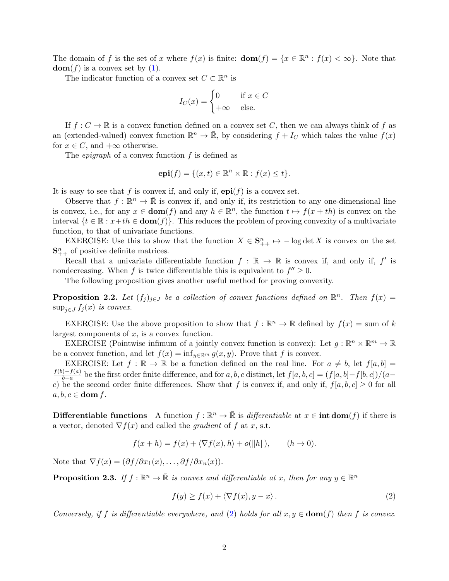The domain of f is the set of x where  $f(x)$  is finite:  $\text{dom}(f) = \{x \in \mathbb{R}^n : f(x) < \infty\}$ . Note that  $dom(f)$  is a convex set by [\(1\)](#page-0-0).

The indicator function of a convex set  $C \subset \mathbb{R}^n$  is

$$
I_C(x) = \begin{cases} 0 & \text{if } x \in C \\ +\infty & \text{else.} \end{cases}
$$

If  $f: C \to \mathbb{R}$  is a convex function defined on a convex set C, then we can always think of f as an (extended-valued) convex function  $\mathbb{R}^n \to \bar{\mathbb{R}}$ , by considering  $f + I_C$  which takes the value  $f(x)$ for  $x \in C$ , and  $+\infty$  otherwise.

The *epigraph* of a convex function  $f$  is defined as

$$
epi(f) = \{(x, t) \in \mathbb{R}^n \times \mathbb{R} : f(x) \le t\}.
$$

It is easy to see that f is convex if, and only if,  $epi(f)$  is a convex set.

Observe that  $f : \mathbb{R}^n \to \bar{\mathbb{R}}$  is convex if, and only if, its restriction to any one-dimensional line is convex, i.e., for any  $x \in \text{dom}(f)$  and any  $h \in \mathbb{R}^n$ , the function  $t \mapsto f(x+th)$  is convex on the interval  $\{t \in \mathbb{R} : x+th \in \text{dom}(f)\}\$ . This reduces the problem of proving convexity of a multivariate function, to that of univariate functions.

EXERCISE: Use this to show that the function  $X \in \mathbf{S}_{++}^n \mapsto -\log \det X$  is convex on the set  $\mathbf{S}_{++}^n$  of positive definite matrices.

Recall that a univariate differentiable function  $f : \mathbb{R} \to \mathbb{R}$  is convex if, and only if, f' is nondecreasing. When f is twice differentiable this is equivalent to  $f'' \geq 0$ .

The following proposition gives another useful method for proving convexity.

**Proposition 2.2.** Let  $(f_j)_{j\in J}$  be a collection of convex functions defined on  $\mathbb{R}^n$ . Then  $f(x) =$  $\sup_{j\in J} f_j(x)$  is convex.

EXERCISE: Use the above proposition to show that  $f : \mathbb{R}^n \to \mathbb{R}$  defined by  $f(x) = \text{sum of } k$ largest components of  $x$ , is a convex function.

EXERCISE (Pointwise infimum of a jointly convex function is convex): Let  $g : \mathbb{R}^n \times \mathbb{R}^m \to \mathbb{R}$ be a convex function, and let  $f(x) = \inf_{y \in \mathbb{R}^m} g(x, y)$ . Prove that f is convex.

EXERCISE: Let  $f : \mathbb{R} \to \mathbb{R}$  be a function defined on the real line. For  $a \neq b$ , let  $f[a, b] =$  $f(b)-f(a)$  $\frac{b-a}{b-a}$  be the first order finite difference, and for a, b, c distinct, let  $f[a, b, c] = (f[a, b] - f[b, c])/(a$ c) be the second order finite differences. Show that f is convex if, and only if,  $f[a, b, c] \ge 0$  for all  $a, b, c \in \textbf{dom } f$ .

**Differentiable functions** A function  $f : \mathbb{R}^n \to \bar{\mathbb{R}}$  is *differentiable* at  $x \in \textbf{int dom}(f)$  if there is a vector, denoted  $\nabla f(x)$  and called the *gradient* of f at x, s.t.

$$
f(x+h) = f(x) + \langle \nabla f(x), h \rangle + o(||h||), \qquad (h \to 0).
$$

Note that  $\nabla f(x) = (\partial f/\partial x_1(x), \dots, \partial f/\partial x_n(x)).$ 

<span id="page-1-1"></span>**Proposition 2.3.** If  $f : \mathbb{R}^n \to \bar{\mathbb{R}}$  is convex and differentiable at x, then for any  $y \in \mathbb{R}^n$ 

<span id="page-1-0"></span>
$$
f(y) \ge f(x) + \langle \nabla f(x), y - x \rangle. \tag{2}
$$

Conversely, if f is differentiable everywhere, and [\(2\)](#page-1-0) holds for all  $x, y \in \text{dom}(f)$  then f is convex.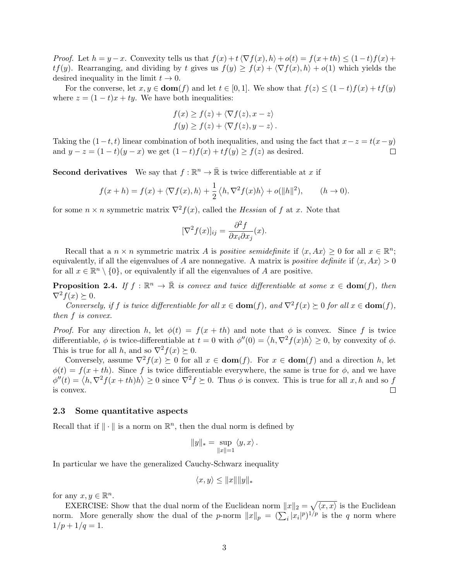*Proof.* Let  $h = y - x$ . Convexity tells us that  $f(x) + t\langle \nabla f(x), h \rangle + o(t) = f(x + th) \leq (1 - t)f(x) + t$  $tf(y)$ . Rearranging, and dividing by t gives us  $f(y) \geq f(x) + \langle \nabla f(x), h \rangle + o(1)$  which yields the desired inequality in the limit  $t \to 0$ .

For the converse, let  $x, y \in \text{dom}(f)$  and let  $t \in [0, 1]$ . We show that  $f(z) \leq (1-t)f(x) + tf(y)$ where  $z = (1 - t)x + ty$ . We have both inequalities:

$$
f(x) \ge f(z) + \langle \nabla f(z), x - z \rangle
$$
  

$$
f(y) \ge f(z) + \langle \nabla f(z), y - z \rangle.
$$

Taking the  $(1-t, t)$  linear combination of both inequalities, and using the fact that  $x-z = t(x-y)$ and  $y - z = (1 - t)(y - x)$  we get  $(1 - t)f(x) + tf(y) \ge f(z)$  as desired.  $\Box$ 

**Second derivatives** We say that  $f : \mathbb{R}^n \to \bar{\mathbb{R}}$  is twice differentiable at x if

$$
f(x+h) = f(x) + \langle \nabla f(x), h \rangle + \frac{1}{2} \langle h, \nabla^2 f(x) h \rangle + o(||h||^2), \qquad (h \to 0).
$$

for some  $n \times n$  symmetric matrix  $\nabla^2 f(x)$ , called the *Hessian* of f at x. Note that

$$
[\nabla^2 f(x)]_{ij} = \frac{\partial^2 f}{\partial x_i \partial x_j}(x).
$$

Recall that a  $n \times n$  symmetric matrix A is *positive semidefinite* if  $\langle x, Ax \rangle \geq 0$  for all  $x \in \mathbb{R}^n$ ; equivalently, if all the eigenvalues of A are nonnegative. A matrix is *positive definite* if  $\langle x, Ax \rangle > 0$ for all  $x \in \mathbb{R}^n \setminus \{0\}$ , or equivalently if all the eigenvalues of A are positive.

**Proposition 2.4.** If  $f : \mathbb{R}^n \to \bar{\mathbb{R}}$  is convex and twice differentiable at some  $x \in \text{dom}(f)$ , then  $\nabla^2 f(x) \succeq 0.$ 

Conversely, if f is twice differentiable for all  $x \in \text{dom}(f)$ , and  $\nabla^2 f(x) \succeq 0$  for all  $x \in \text{dom}(f)$ , then f is convex.

*Proof.* For any direction h, let  $\phi(t) = f(x + th)$  and note that  $\phi$  is convex. Since f is twice differentiable,  $\phi$  is twice-differentiable at  $t = 0$  with  $\phi''(0) = \langle h, \nabla^2 f(x)h \rangle \geq 0$ , by convexity of  $\phi$ . This is true for all h, and so  $\nabla^2 f(x) \succeq 0$ .

Conversely, assume  $\nabla^2 f(x) \geq 0$  for all  $x \in \text{dom}(f)$ . For  $x \in \text{dom}(f)$  and a direction h, let  $\phi(t) = f(x + th)$ . Since f is twice differentiable everywhere, the same is true for  $\phi$ , and we have  $\phi''(t) = \langle h, \nabla^2 f(x+th)h \rangle \ge 0$  since  $\nabla^2 f \succeq 0$ . Thus  $\phi$  is convex. This is true for all x, h and so f is convex.  $\Box$ 

## 2.3 Some quantitative aspects

Recall that if  $\|\cdot\|$  is a norm on  $\mathbb{R}^n$ , then the dual norm is defined by

$$
||y||_* = \sup_{||x||=1} \langle y, x \rangle.
$$

In particular we have the generalized Cauchy-Schwarz inequality

$$
\langle x, y \rangle \le ||x|| ||y||_*
$$

for any  $x, y \in \mathbb{R}^n$ .

EXERCISE: Show that the dual norm of the Euclidean norm  $||x||_2 = \sqrt{\langle x, x \rangle}$  is the Euclidean norm. More generally show the dual of the *p*-norm  $||x||_p = (\sum_i |x_i|^p)^{1/p}$  is the *q* norm where  $1/p + 1/q = 1.$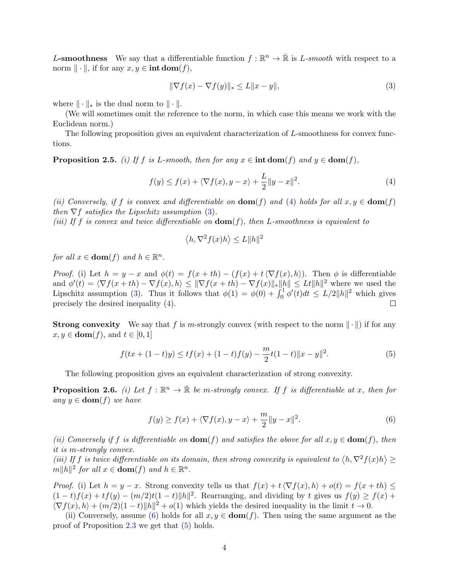L-smoothness We say that a differentiable function  $f : \mathbb{R}^n \to \bar{\mathbb{R}}$  is L-smooth with respect to a norm  $\|\cdot\|$ , if for any  $x, y \in \text{int dom}(f)$ ,

<span id="page-3-1"></span>
$$
\|\nabla f(x) - \nabla f(y)\|_{*} \le L \|x - y\|,
$$
\n(3)

where  $\|\cdot\|_*$  is the dual norm to  $\|\cdot\|.$ 

(We will sometimes omit the reference to the norm, in which case this means we work with the Euclidean norm.)

The following proposition gives an equivalent characterization of L-smoothness for convex functions.

**Proposition 2.5.** (i) If f is L-smooth, then for any  $x \in \text{int dom}(f)$  and  $y \in \text{dom}(f)$ ,

<span id="page-3-0"></span>
$$
f(y) \le f(x) + \langle \nabla f(x), y - x \rangle + \frac{L}{2} \|y - x\|^2.
$$
 (4)

(ii) Conversely, if f is convex and differentiable on  $\text{dom}(f)$  and [\(4\)](#page-3-0) holds for all  $x, y \in \text{dom}(f)$ then  $\nabla f$  satisfies the Lipschitz assumption [\(3\)](#page-3-1).

(iii) If f is convex and twice differentiable on  $\text{dom}(f)$ , then L-smoothness is equivalent to

$$
\langle h, \nabla^2 f(x) h \rangle \le L \|h\|^2
$$

for all  $x \in \text{dom}(f)$  and  $h \in \mathbb{R}^n$ .

*Proof.* (i) Let  $h = y - x$  and  $\phi(t) = f(x + th) - (f(x) + t\langle \nabla f(x), h \rangle)$ . Then  $\phi$  is differentiable and  $\phi'(t) = \langle \nabla f(x + th) - \nabla f(x), h \rangle \leq ||\nabla f(x + th) - \nabla f(x)||_* ||h|| \leq Lt||h||^2$  where we used the Lipschitz assumption [\(3\)](#page-3-1). Thus it follows that  $\phi(1) = \phi(0) + \int_0^1 \phi'(t) dt \leq L/2 ||h||^2$  which gives precisely the desired inequality [\(4\)](#page-3-0).  $\Box$ 

**Strong convexity** We say that f is m-strongly convex (with respect to the norm  $\|\cdot\|$ ) if for any  $x, y \in \text{dom}(f)$ , and  $t \in [0, 1]$ 

<span id="page-3-3"></span>
$$
f(tx + (1-t)y) \le tf(x) + (1-t)f(y) - \frac{m}{2}t(1-t)\|x - y\|^2.
$$
 (5)

The following proposition gives an equivalent characterization of strong convexity.

**Proposition 2.6.** (i) Let  $f : \mathbb{R}^n \to \bar{\mathbb{R}}$  be m-strongly convex. If f is differentiable at x, then for any  $y \in \textbf{dom}(f)$  we have

<span id="page-3-2"></span>
$$
f(y) \ge f(x) + \langle \nabla f(x), y - x \rangle + \frac{m}{2} \|y - x\|^2.
$$
 (6)

(ii) Conversely if f is differentiable on  $\text{dom}(f)$  and satisfies the above for all  $x, y \in \text{dom}(f)$ , then it is m-strongly convex.

(iii) If f is twice differentiable on its domain, then strong convexity is equivalent to  $\langle h, \nabla^2 f(x)h \rangle \ge$  $\|m\|h\|^2$  for all  $x \in \textbf{dom}(f)$  and  $h \in \mathbb{R}^n$ .

*Proof.* (i) Let  $h = y - x$ . Strong convexity tells us that  $f(x) + t\langle \nabla f(x), h \rangle + o(t) = f(x + th) \le$  $(1-t)f(x) + tf(y) - (m/2)t(1-t)\|h\|^2$ . Rearranging, and dividing by t gives us  $f(y) \ge f(x) +$  $\langle \nabla f(x), h \rangle + (m/2)(1-t)\|h\|^2 + o(1)$  which yields the desired inequality in the limit  $t \to 0$ .

(ii) Conversely, assume [\(6\)](#page-3-2) holds for all  $x, y \in \text{dom}(f)$ . Then using the same argument as the proof of Proposition  $2.3$  we get that  $(5)$  holds.